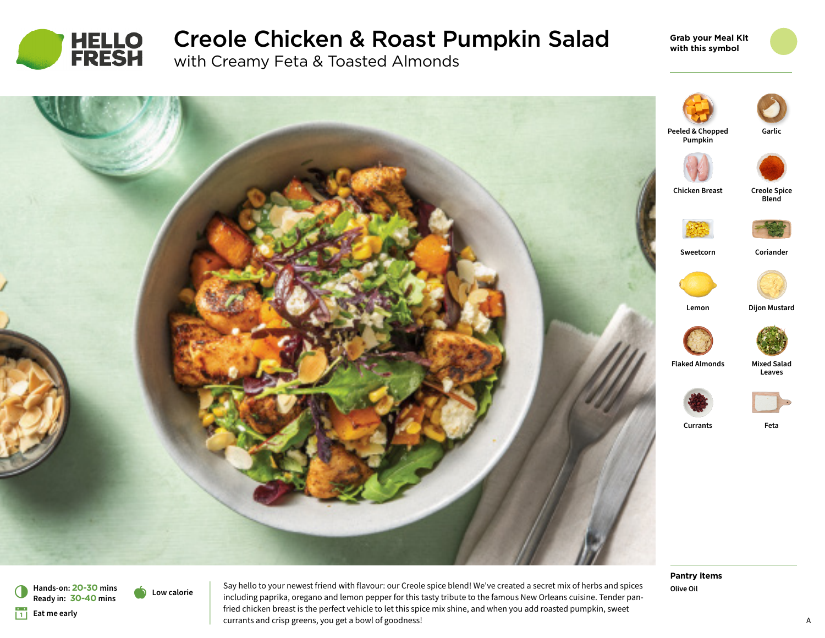

# Creole Chicken & Roast Pumpkin Salad

with Creamy Feta & Toasted Almonds

**Grab your Meal Kit with this symbol**



**Hands-on: 20-30 mins** 6 **Ready in: 30-40 mins**

a **Low calorie**

**Eat me early** 

Say hello to your newest friend with flavour: our Creole spice blend! We've created a secret mix of herbs and spices including paprika, oregano and lemon pepper for this tasty tribute to the famous New Orleans cuisine. Tender panfried chicken breast is the perfect vehicle to let this spice mix shine, and when you add roasted pumpkin, sweet currants and crisp greens, you get a bowl of goodness!